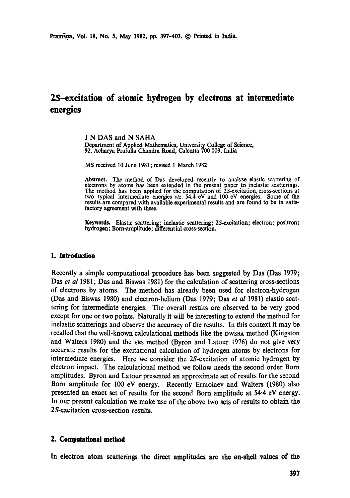# **25-excitation of atomic hydrogen by electrons at intermediate energies**

**J N** DAS and N SAHA Department of Applied Mathematics, University College of Science, 92, Acharya Prafulla Chandra Road, Calcutta 700 009, India

MS received 10 June 1981 ; revised 1 March 1982

Abstract. The method of Das developed recently to analyse elastic scattering of electrons by atoms has been extended in the present paper to inelastic seatterings. The method has been applied for the computation of  $2S$ -excitation, cross-sections at two typical intermediate energies *viz.* 54.4 eV and 100 eV energies. Some of the results are compared with available experimental results and are found to be in satisfactory agreement with these.

Keywords. Elastic scattering; inelastic scattering; 2S-excitation; electron; positron; hydrogen; Born-amplitude; differential cross-section.

#### **1. Introduction**

Recently a simple computational procedure has been suggested by Das (Das 1979; Das *et al* 1981; Das and Biswas 1981) for the calculation of scattering cross-sections of electrons by atoms. The method has already been used for electron-hydrogen (Das and Biswas 1980) and electron-helium (Das 1979; Das *et al* 1981) elastic scattering for intermediate energies. The overall results are observed to be very good except for one or two points. Naturally it will be interesting to extend the method for inelastic scatterings and observe the accuracy of the results. In this context it may be recalled that the well-known calculational methods like the DWSBA method (Kingston and Waiters 1980) and the EBS method (Byron and Latour 1976) do not give very accurate results for the excitational calculation of hydrogen atoms by electrons for intermediate energies. Here we consider the 2S-excitation of atomic hydrogen by electron impact. The calculational method we follow needs the second order Born amplitudes. Byron and Latour presented an approximate set of results for the second Born amplitude for 100 eV energy. Recently Ermolaev and Walters (1980) also presented an exact set of results for the second Born amplitude at 54.4 eV energy. In our present calculation we make use of the above two sets of results to obtain the 2S-excitation cross-section results.

## **2. Computational method**

In electron atom scatterings the direct amplitudes are the on-shell values of the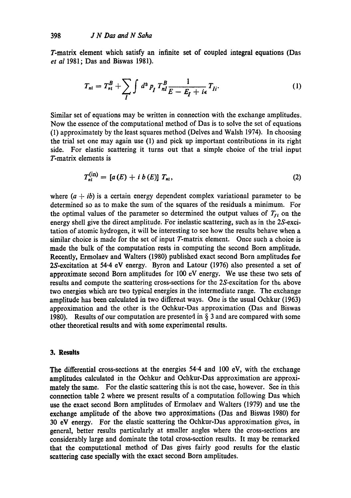$\overline{a}$ 

T-matrix element which satisfy an infinite set of coupled integral equations (Das et **a1** 1981; Das and Biswas 1981).

$$
T_{ni} = T_{ni}^B + \sum_{I} \int d^3 p_I T_{nl}^B \frac{1}{E - E_I + i\epsilon} T_{Ii}.
$$
 (1)

Similar set of equations may be written in connection with the exchange amplitudes. Now the essence of the computational method of Das is to solve the set of equations (1) approximately by the least squares method (Delves and Walsh 1974). In choosing the trial set one may again use (1) and pick up important contributions in its right side. For elastic scattering it turns out that a simple choice of the trial input T-matrix elements is

$$
T_{n i}^{(1 1)} = [a(E) + i b(E)] T_{n i}, \qquad (2)
$$

where  $(a + ib)$  is a certain energy dependent complex variational parameter to be determined so as to make the sum of the squares of the residuals a minimum. For the optimal values of the parameter so determined the output values of  $T_{fi}$  on the energy shell give the direct amplitude. For inelastic scattering, such as in the 2S-excitation of atomic hydrogen, it will be interesting to see how the results behave when a similar choice is made for the set of input T-matrix element. Once such a choice is made the bulk of the computation rests in computing the second Born amplitude. Recently, Ermolaev and Walters (1980) published exact second Born amplitudes for 2S-excitation at 54.4 eV energy. Byron and Latour (1976) also presented a set of approximate second Born amplitudes for 100 **eV** energy. We use these two sets of results and compute the scattering cross-sections for the 2S-excitation for the above two energies which are two typical energies in the intermediate range. The exchange amplitude has been calculated in two different ways. One is the usual Ochkur (1963) approximation and the other is the Ochkur-Das approximation (Das and Biswas 1980). Results of our computation are presented in **fj** 3 and are compared with some other theoretical results and with some experimental results.

#### 3. Results

The differential cross-sections at the energies 54.4 and 100 eV, with the exchange amplitudcs calculated in the Ochkur and Ochkur-Das approximation are approximately the same. For the elastic scattering this is not the case, however. See in this connection table 2 where we present results of a computation following Das which use the exact second Born amplitudes of Ermolaev and Walters (1979) and use the exchange amplitude of the above two approximations (Das and Biswas 1980) for 30 eV energy. For the elastic scattering the Ochkur-Das approximation gives, in general, better results particularly at smaller angles where the cross-sections are considerably large and dominate the total cross-section results. It may be remarked that the computational method of Das gives fairly good results for the elastic scattering case specially with the exact second Born amplitudes.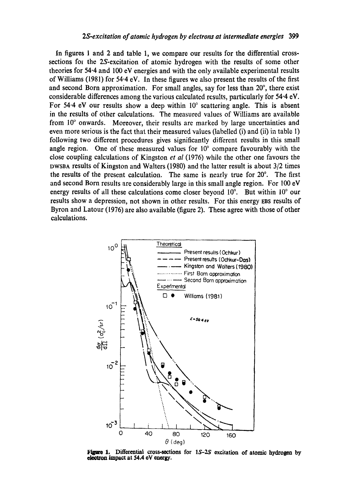In figures 1 and 2 and table 1, we compare our results for the differential crosssections for the 2S-excitation of atomic hydrogen with the results of some other theories for 54.4 and 100 cV energies and with the only available experimental results of Williams (1981) for 54.4 eV. In these figures we also present the results of the first and second Born approximation. For small angles, say for less than 20°, there exist considerable differences among the various calculated results, particularly for 54.4 eV. For  $54.4$  eV our results show a deep within  $10^{\circ}$  scattering angle. This is absent in the results of other calculations. The measured values of Williams are available from  $10^{\circ}$  onwards. Moreover, their results are marked by large uncertainties and even more serious is the fact that their measured values (labelled (i) and (ii) in tablc 1) following two different procedures gives significantly different results in this small angle region. One of these measured values for  $10^{\circ}$  compare favourably with the close coupling calculations of Kingston *et al* (1976) while the other one favours the DWSBA results of Kingston and Waiters (1980) and the latter result is about 3/2 times the results of the present calculation. The same is nearly true for  $20^\circ$ . The first and second Born results are considerably large in this small angle region. For 100 eV energy results of all these calculations come closer beyond  $10^{\circ}$ . But within  $10^{\circ}$  our results show a depression, not shown in other results. For this energy EBS results of Byron and Latour (1976) are also available (figure 2). These agree with those of other calculations.



**Figure 1. Differential cross-sections for 1S-2S excitation of atomic hydrogen by ekctmn impact at 54.4 oV energy.**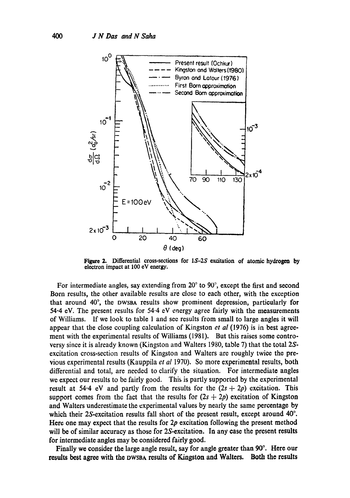

Figure 2. Differential cross-sections for *1S-2S* excitation of atomic hydrogen by electron impact at 100 eV energy.

For intermediate angles, say extending from  $20^{\circ}$  to  $90^{\circ}$ , except the first and second Born results, the other available results are close to each other, with the exception that around 40°, the DWSBA results show prominent depression, particularly for 54.4 eV. The present results for 54-4 eV energy agree fairly with the measurements of Williams. If we look to table 1 and see results from small to large angles it will appear that the close coupling calculation of Kingston *et al* (1976) is in best agreement with the experimental results of Williams (1981). But this raises some controversy since it is already known (Kingston and Walters 1980, table 7) that the total 2Sexcitation cross-section results of Kingston and Waiters are roughly twice the previous experimental results (Kauppila *et al* 1970). So more experimental results, both differential and total, are needed to clarify the situation. For intermediate angles we expect our results to be fairly good. This is partly supported by the experimental result at 54.4 eV and partly from the results for the  $(2s + 2p)$  excitation. This support comes from the fact that the results for  $(2s + 2p)$  excitation of Kingston and Waiters underestimate the experimental values by nearly the same percentage by which their 2S-excitation results fall short of the present result, except around  $40^\circ$ . Here one may expect that the results for  $2p$  excitation following the present method will be of similar accuracy as those for 2S-excitation. In any case the present results for intermediate angles may be considered fairly good.

Finally we consider the large angle result, say for angle greater than 90°. Here our results best agree with the DWSBA results of Kingston and Waiters. Both the results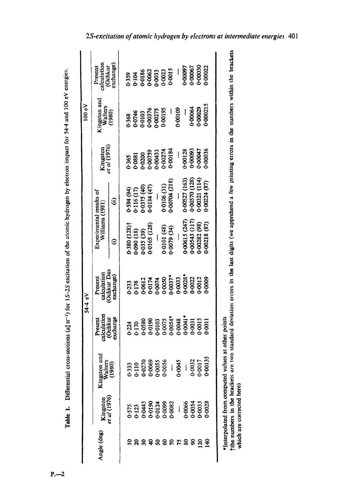|         | 2S-excitation of atomic hydrogen by electrons      |                 |            |                                                             |                          |                                                                                                                                                        |                                  |            |                                |                                                                                                                                       |
|---------|----------------------------------------------------|-----------------|------------|-------------------------------------------------------------|--------------------------|--------------------------------------------------------------------------------------------------------------------------------------------------------|----------------------------------|------------|--------------------------------|---------------------------------------------------------------------------------------------------------------------------------------|
| 100 eV  | Present<br>calculation<br>(Ochkur<br>exchange)     |                 |            |                                                             |                          | 0-359<br>0-104<br>0-0186<br>0-0033<br>0-0015                                                                                                           |                                  |            | 0-00097<br>6-00067<br>0-00030  | 1-00022                                                                                                                               |
|         | Kingston and<br>Walters<br>(1980)                  |                 |            | 0-368<br>0-0746<br>0-010376<br>0-00275<br>0-00195           |                          | $-$<br>0.00109                                                                                                                                         |                                  |            | 0-00064<br>0-00029<br>0-000215 |                                                                                                                                       |
| 54.4 eV | Kingston<br>et al (1976)                           |                 |            |                                                             |                          | $\begin{array}{r} 0.365 \\ 0.081 \\ 0.0200 \\ 0.00759 \\ 0.00433 \\ 0.00274 \\ 0.00274 \\ 0.00384 \end{array}$                                         | 0-00128<br>0-00093               |            | 100047                         | 00036                                                                                                                                 |
|         | Experimental results of<br>Villiams (1981)         | ÛΘ,             | $-594(94)$ | $0.116(17)$<br>$0.0375(40)$<br>$0.0184(47)$<br>$-$          |                          | $0.0106(31)$<br>$0.00704(218)$                                                                                                                         | $0.00527(163)$<br>$0.00570(128)$ |            | (114)<br>0.00321               | $+00224(87)$                                                                                                                          |
|         |                                                    | $\widehat{\in}$ |            | $0.380(128)$<br>$0.090(18)$<br>$0.035(39)$<br>$0.0165(128)$ | $\overline{\phantom{a}}$ | 0-0101 (48)<br>0-0079 (34)                                                                                                                             | +00615 (247)                     | 00543(117) | 0.00282(98)                    | (60, 18)                                                                                                                              |
|         | Present<br>calculation<br>(Ochkur Das<br>exchange) |                 |            |                                                             |                          | $0.233$<br>$0.178$<br>$0.0612$<br>$0.06174$<br>$0.0637$<br>$0.0637$<br>$0.0637$<br>$0.0637$<br>$0.0637$<br>$0.0628$<br>$0.0612$                        |                                  |            |                                | 0009                                                                                                                                  |
|         | calculation<br>(Ochkur<br>exchange<br>Present      |                 |            |                                                             |                          | $0.224$<br>$0.170$<br>$0.058$<br>$0.058$<br>$0.050$<br>$0.050$<br>$0.050$<br>$0.050$<br>$0.050$<br>$0.050$<br>$0.050$<br>$0.050$<br>$0.050$<br>$0.050$ |                                  |            |                                |                                                                                                                                       |
|         | Kingston and<br>Walters<br>(1980)                  |                 |            |                                                             |                          |                                                                                                                                                        |                                  |            |                                | 0-333<br>0-110<br>0-0270<br>0-00535<br>0-0017<br>0-0017<br>0-0017<br>0-0013                                                           |
|         | Kingston<br>et al (1976)                           |                 |            |                                                             |                          |                                                                                                                                                        |                                  |            |                                | $0.575$<br>$0.123$<br>$0.0443$<br>$0.0443$<br>$0.0443$<br>$0.0443$<br>$0.0643$<br>$0.066$<br>$0.063$<br>$0.063$<br>$0.063$<br>$0.028$ |
|         | $_{\texttt{angle}\ (\texttt{deg})}$                |                 |            |                                                             |                          | 2 8 8 <del>9</del> 8 8 8 5 8 8                                                                                                                         |                                  |            |                                | $rac{8}{5}$                                                                                                                           |

| ï |
|---|
|   |

\*Interpolated from computed values at other points

\*Interpolated from computed values at other points<br>
†the numbers in the brackets are two standard deviation errors in the last digits (we apprehend a few printing errors in the numbers within the brackets<br>
which are correc tthe numbers in the brackets are two standard deviation errors in the last digits (we apprehend a few printing errors in the numbers within the brackets which are corrected here)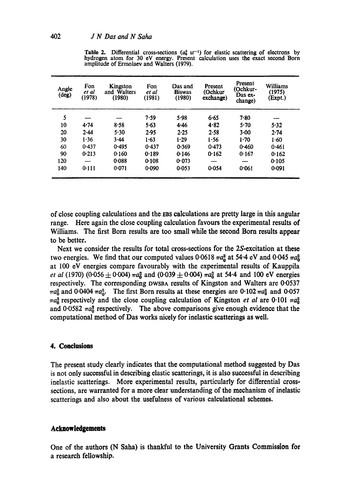| Angle<br>(deg) | Fon<br>et al<br>(1978) | Kingston<br>and Walters<br>(1980) | Fon<br>et al<br>(1981) | Das and<br><b>Biswas</b><br>(1980) | Present<br>(Ochkur<br>exchange) | Present<br>(Ochkur-<br>Das ex-<br>change) | Williams<br>(1975)<br>(Expt.) |
|----------------|------------------------|-----------------------------------|------------------------|------------------------------------|---------------------------------|-------------------------------------------|-------------------------------|
| 5              |                        |                                   | 7.59                   | 5.98                               | 6.65                            | 7.80                                      |                               |
| 10             | 4.74                   | 8.58                              | $5 - 63$               | 4.46                               | 4.82                            | 5.70                                      | 5.32                          |
| 20             | 2.44                   | 5.30                              | 2.95                   | 2.25                               | 2.58                            | 3.00                                      | $2 - 74$                      |
| 30             | 1.36                   | 3.44                              | 1.63                   | $1 - 29$                           | 1.56                            | $1 - 70$                                  | 1.60                          |
| 60             | 0.437                  | 0.495                             | 0.437                  | 0.369                              | 0.473                           | 0.460                                     | 0.461                         |
| 90             | 0.213                  | 0.160                             | 0.189                  | 0.146                              | 0.162                           | 0.167                                     | 0.162                         |
| 120            |                        | 0.088                             | 0.108                  | 0.073                              |                                 | ----                                      | 0.105                         |
| 140            | 0.111                  | 0.071                             | 0.090                  | 0.053                              | 0.054                           | 0.061                                     | 0.091                         |

**Table 2.** Differential cross-sections  $(a_0^2 \text{ sr}^{-1})$  for elastic scattering of electrons by hydrogen atom for 30 eV energy. Present calculation uses the exact second Born amplitude of Ermolaev and Waiters (1979).

of close coupling calculations and the EBS calculations are pretty large in this angular range. Here again the close coupling calculation favours the experimental results of Williams. The first Born results are too small while the second Born results appear to be better.

Next we consider the results for total cross-sections for the 2S-excitation at these two energies. We find that our computed values 0.0618  $\pi a_0^2$  at 54.4 eV and 0.045  $\pi a_0^2$ at 100 eV energies compare favourably with the experimental results of Kauppila *et al* (1970) (0.056  $\pm$  0.004)  $\pi a_0^2$  and (0.039  $\pm$  0.004)  $\pi a_0^2$  at 54.4 and 100 eV energies respectively. The corresponding DWSBA results of Kingston and Waiters are 0.0537  $m\alpha_0^2$  and 0.0404  $\pi a_0^2$ . The first Born results at these energies are 0.102  $\pi a_0^2$  and 0.057  $\pi a_0^2$  respectively and the close coupling calculation of Kingston *et al* are 0.101  $\pi a_0^2$ and 0.0582  $\pi a_0^2$  respectively. The above comparisons give enough evidence that the computational method of Das works nicely for inelastic scatterings as well.

# **4. Conclusions**

The present study clearly indicates that the computational method suggested by Das is not only successful in describing elastic scatterings, it is also successful in describing inelastic scatterings. More experimental results, particularly for differential crosssections, are warranted for a more clear understanding of the mechanism of inelastic scatterings and also about the usefulness of various calculational schemes.

#### **Acknowledgements**

One of the authors (N Saha) is thankful to the University Grants Commission for a research fellowship.